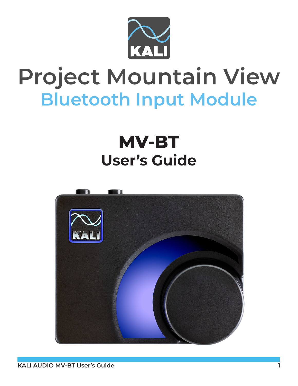

# **Project Mountain View Bluetooth Input Module**

## **MV-BT User's Guide**

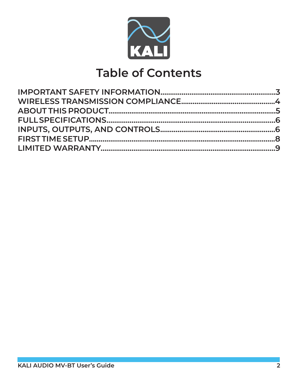

### **Table of Contents**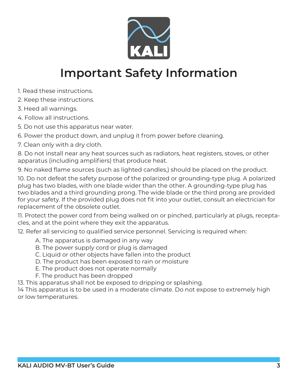

### **Important Safety Information**

- 1. Read these instructions.
- 2. Keep these instructions.
- 3. Heed all warnings.
- 4. Follow all instructions.
- 5. Do not use this apparatus near water.
- 6. Power the product down, and unplug it from power before cleaning.
- 7. Clean only with a dry cloth.

8. Do not install near any heat sources such as radiators, heat registers, stoves, or other apparatus (including amplifiers) that produce heat.

9. No naked flame sources (such as lighted candles,) should be placed on the product.

10. Do not defeat the safety purpose of the polarized or grounding-type plug. A polarized plug has two blades, with one blade wider than the other. A grounding-type plug has two blades and a third grounding prong. The wide blade or the third prong are provided for your safety. If the provided plug does not fit into your outlet, consult an electrician for replacement of the obsolete outlet.

11. Protect the power cord from being walked on or pinched, particularly at plugs, receptacles, and at the point where they exit the apparatus.

12. Refer all servicing to qualified service personnel. Servicing is required when:

- A. The apparatus is damaged in any way
- B. The power supply cord or plug is damaged
- C. Liquid or other objects have fallen into the product
- D. The product has been exposed to rain or moisture
- E. The product does not operate normally
- F. The product has been dropped

13. This apparatus shall not be exposed to dripping or splashing.

14 This apparatus is to be used in a moderate climate. Do not expose to extremely high or low temperatures.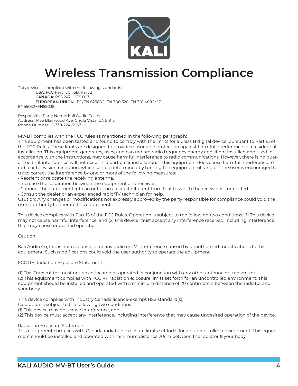

### **Wireless Transmission Compliance**

This device is compliant with the following standards: **USA**: FCC Part 15C, 15B, Part 2 **CANADA**: RSS 247, ICES 003 **EUROPEAN UNION**: IEC/EN 62368-1, EN 300 328, EN 301 489-1/-17, EN55032+EN55035

Responsible Party Name: Kali Audio Co, Inc. Address: 1455 Blairwood Ave, Chula Vista, CA 91913 Phone Number: +1-339-224-5967

MV-BT complies with the FCC rules as mentioned in the following paragraph:

This equipment has been tested and found to comply with the limits for a Class B digital device, pursuant to Part 15 of the FCC Rules. These limits are designed to provide reasonable protection against harmful interference in a residential installation. This equipment generates, uses, and can radiate radio frequency energy and, if not installed and used in accordance with the instructions, may cause harmful interference to radio communications. However, there is no guarantee that interference will not occur in a particular installation. If this equipment does cause harmful interference to radio or television reception, which can be determined by turning the equipment off and on, the user is encouraged to try to correct the interference by one or more of the following measures:

• Reorient or relocate the receiving antenna.

• Increase the separation between the equipment and receiver.

• Connect the equipment into an outlet on a circuit different from that to which the receiver is connected.

• Consult the dealer or an experienced radio/TV technician for help.

Caution: Any changes or modifications not expressly approved by the party responsible for compliance could void the user's authority to operate this equipment.

This device complies with Part 15 of the FCC Rules. Operation is subject to the following two conditions: (1) This device may not cause harmful interference, and (2) this device must accept any interference received, including interference that may cause undesired operation.

#### Caution!

Kali Audio Co, Inc. is not responsible for any radio or TV interference caused by unauthorized modifications to this equipment. Such modifications could void the user authority to operate the equipment.

FCC RF Radiation Exposure Statement:

(1) This Transmitter must not be co-located or operated in conjunction with any other antenna or transmitter. (2) This equipment complies with FCC RF radiation exposure limits set forth for an uncontrolled environment. This equipment should be installed and operated with a minimum distance of 20 centimeters between the radiator and your body.

This device complies with Industry Canada licence-exempt RSS standard(s).

Operation is subject to the following two conditions:

(1) This device may not cause interference, and

(2) This device must accept any interference, including interference that may cause undesired operation of the device.

#### Radiation Exposure Statement

This equipment complies with Canada radiation exposure limits set forth for an uncontrolled environment. This equipment should be installed and operated with minimum distance 20cm between the radiator & your body.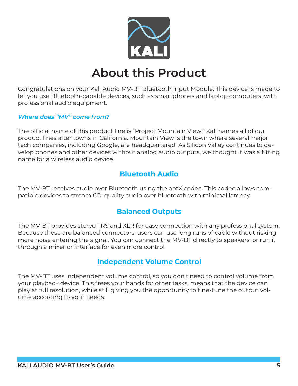

### **About this Product**

Congratulations on your Kali Audio MV-BT Bluetooth Input Module. This device is made to let you use Bluetooth-capable devices, such as smartphones and laptop computers, with professional audio equipment.

#### *Where does "MV" come from?*

The official name of this product line is "Project Mountain View." Kali names all of our product lines after towns in California. Mountain View is the town where several major tech companies, including Google, are headquartered. As Silicon Valley continues to develop phones and other devices without analog audio outputs, we thought it was a fitting name for a wireless audio device.

#### **Bluetooth Audio**

The MV-BT receives audio over Bluetooth using the aptX codec. This codec allows compatible devices to stream CD-quality audio over bluetooth with minimal latency.

#### **Balanced Outputs**

The MV-BT provides stereo TRS and XLR for easy connection with any professional system. Because these are balanced connectors, users can use long runs of cable without risking more noise entering the signal. You can connect the MV-BT directly to speakers, or run it through a mixer or interface for even more control.

#### **Independent Volume Control**

The MV-BT uses independent volume control, so you don't need to control volume from your playback device. This frees your hands for other tasks, means that the device can play at full resolution, while still giving you the opportunity to fine-tune the output volume according to your needs.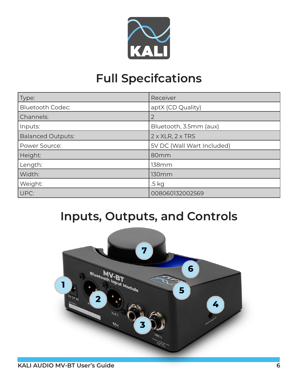

### **Full Specifcations**

| Type:                    | Receiver                        |
|--------------------------|---------------------------------|
| <b>Bluetooth Codec:</b>  | aptX (CD Quality)               |
| Channels:                | $\overline{2}$                  |
| Inputs:                  | Bluetooth, 3.5mm (aux)          |
| <b>Balanced Outputs:</b> | $2 \times XLR$ , $2 \times TRS$ |
| Power Source:            | 5V DC (Wall Wart Included)      |
| Height:                  | 80mm                            |
| Length:                  | <b>138mm</b>                    |
| Width:                   | 130 <sub>mm</sub>               |
| Weight:                  | .5 kg                           |
| UPC:                     | 008060132002569                 |

### **Inputs, Outputs, and Controls**

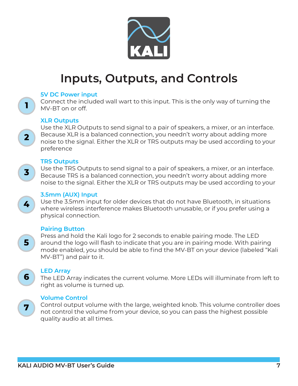

### **Inputs, Outputs, and Controls**

#### **5V DC Power input**

Connect the included wall wart to this input. This is the only way of turning the MV-BT on or off.

#### **XLR Outputs**

1.

 $2<sup>1</sup>$ 

 $\overline{\mathbf{3}}$ 

4

5

6

7

Use the XLR Outputs to send signal to a pair of speakers, a mixer, or an interface. Because XLR is a balanced connection, you needn't worry about adding more noise to the signal. Either the XLR or TRS outputs may be used according to your preference

#### **TRS Outputs**

Use the TRS Outputs to send signal to a pair of speakers, a mixer, or an interface. Because TRS is a balanced connection, you needn't worry about adding more noise to the signal. Either the XLR or TRS outputs may be used according to your

#### **3.5mm (AUX) Input**

Use the 3.5mm input for older devices that do not have Bluetooth, in situations where wireless interference makes Bluetooth unusable, or if you prefer using a physical connection.

#### **Pairing Button**

Press and hold the Kali logo for 2 seconds to enable pairing mode. The LED around the logo will flash to indicate that you are in pairing mode. With pairing mode enabled, you should be able to find the MV-BT on your device (labeled "Kali MV-BT") and pair to it.

#### **LED Array**

The LED Array indicates the current volume. More LEDs will illuminate from left to right as volume is turned up.

#### **Volume Control**

Control output volume with the large, weighted knob. This volume controller does not control the volume from your device, so you can pass the highest possible quality audio at all times.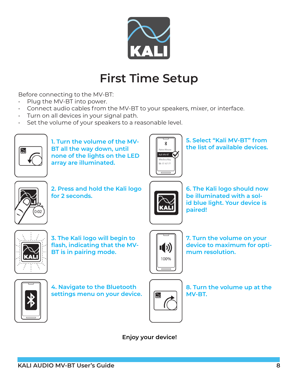

### **First Time Setup**

Before connecting to the MV-BT:

- Plug the MV-BT into power.
- Connect audio cables from the MV-BT to your speakers, mixer, or interface.
- Turn on all devices in your signal path.
- Set the volume of your speakers to a reasonable level.



**1. Turn the volume of the MV-BT all the way down, until none of the lights on the LED array are illuminated.**



**5. Select "Kali MV-BT" from the list of available devices.**



**2. Press and hold the Kali logo for 2 seconds.**



**6. The Kali logo should now be illuminated with a solid blue light. Your device is paired!**



**3. The Kali logo will begin to flash, indicating that the MV-BT is in pairing mode.**



**7. Turn the volume on your device to maximum for optimum resolution.**



**4. Navigate to the Bluetooth settings menu on your device.**



**8. Turn the volume up at the MV-BT.** 

**Enjoy your device!**